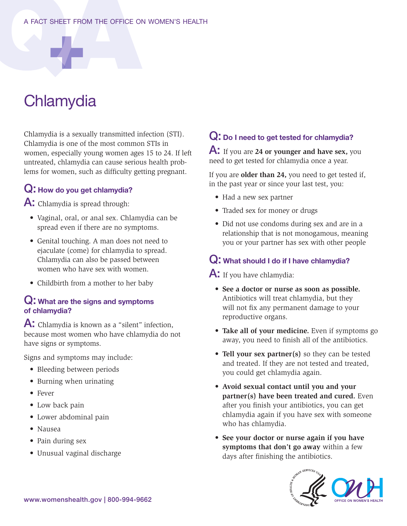#### A FACT SHEET FROM THE OFFICE ON WOMEN'S HEALTH

# **Chlamydia**

Chlamydia is a sexually transmitted infection (STI). Chlamydia is one of the most common STIs in women, especially young women ages 15 to 24. If left untreated, chlamydia can cause serious health problems for women, such as difficulty getting pregnant.

## Q: How do you get chlamydia?

A: Chlamydia is spread through:

- Vaginal, oral, or anal sex. Chlamydia can be spread even if there are no symptoms.
- Genital touching. A man does not need to ejaculate (come) for chlamydia to spread. Chlamydia can also be passed between women who have sex with women.
- Childbirth from a mother to her baby

#### Q: What are the signs and symptoms of chlamydia?

A: Chlamydia is known as a "silent" infection, because most women who have chlamydia do not have signs or symptoms.

Signs and symptoms may include:

- Bleeding between periods
- Burning when urinating
- Fever
- Low back pain
- Lower abdominal pain
- Nausea
- Pain during sex
- Unusual vaginal discharge

## Q: Do I need to get tested for chlamydia?

A: If you are **24 or younger and have sex,** you need to get tested for chlamydia once a year.

If you are **older than 24,** you need to get tested if, in the past year or since your last test, you:

- Had a new sex partner
- Traded sex for money or drugs
- Did not use condoms during sex and are in a relationship that is not monogamous, meaning you or your partner has sex with other people

### Q: What should I do if I have chlamydia?

A: If you have chlamydia:

- **See a doctor or nurse as soon as possible.**  Antibiotics will treat chlamydia, but they will not fix any permanent damage to your reproductive organs.
- **Take all of your medicine.** Even if symptoms go away, you need to finish all of the antibiotics.
- **Tell your sex partner(s)** so they can be tested and treated. If they are not tested and treated, you could get chlamydia again.
- **Avoid sexual contact until you and your partner(s) have been treated and cured.** Even after you finish your antibiotics, you can get chlamydia again if you have sex with someone who has chlamydia.
- **See your doctor or nurse again if you have symptoms that don't go away** within a few days after finishing the antibiotics.